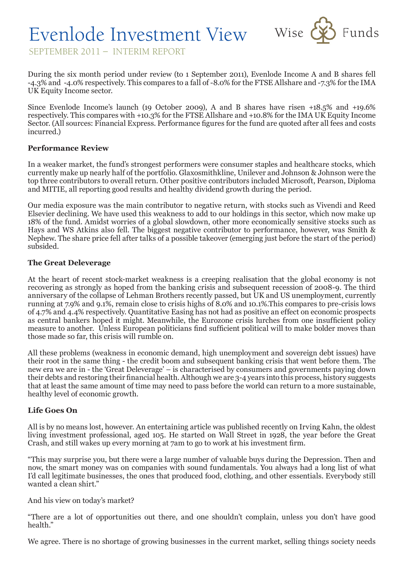

SEPTEMBER 2011 – INTERIM REPORT

During the six month period under review (to 1 September 2011), Evenlode Income A and B shares fell -4.3% and -4.0% respectively. This compares to a fall of -8.0% for the FTSE Allshare and -7.3% for the IMA UK Equity Income sector.

Since Evenlode Income's launch (19 October 2009), A and B shares have risen +18.5% and +19.6% respectively. This compares with +10.3% for the FTSE Allshare and +10.8% for the IMA UK Equity Income Sector. (All sources: Financial Express. Performance figures for the fund are quoted after all fees and costs incurred.)

## **Performance Review**

In a weaker market, the fund's strongest performers were consumer staples and healthcare stocks, which currently make up nearly half of the portfolio. Glaxosmithkline, Unilever and Johnson & Johnson were the top three contributors to overall return. Other positive contributors included Microsoft, Pearson, Diploma and MITIE, all reporting good results and healthy dividend growth during the period.

Our media exposure was the main contributor to negative return, with stocks such as Vivendi and Reed Elsevier declining. We have used this weakness to add to our holdings in this sector, which now make up 18% of the fund. Amidst worries of a global slowdown, other more economically sensitive stocks such as Hays and WS Atkins also fell. The biggest negative contributor to performance, however, was Smith & Nephew. The share price fell after talks of a possible takeover (emerging just before the start of the period) subsided.

## **The Great Deleverage**

At the heart of recent stock-market weakness is a creeping realisation that the global economy is not recovering as strongly as hoped from the banking crisis and subsequent recession of 2008-9. The third anniversary of the collapse of Lehman Brothers recently passed, but UK and US unemployment, currently running at 7.9% and 9.1%, remain close to crisis highs of 8.0% and 10.1%.This compares to pre-crisis lows of 4.7% and 4.4% respectively. Quantitative Easing has not had as positive an effect on economic prospects as central bankers hoped it might. Meanwhile, the Eurozone crisis lurches from one insufficient policy measure to another. Unless European politicians find sufficient political will to make bolder moves than those made so far, this crisis will rumble on.

All these problems (weakness in economic demand, high unemployment and sovereign debt issues) have their root in the same thing - the credit boom and subsequent banking crisis that went before them. The new era we are in - the 'Great Deleverage' – is characterised by consumers and governments paying down their debts and restoring their financial health. Although we are 3-4 years into this process, history suggests that at least the same amount of time may need to pass before the world can return to a more sustainable, healthy level of economic growth.

## **Life Goes On**

All is by no means lost, however. An entertaining article was published recently on Irving Kahn, the oldest living investment professional, aged 105. He started on Wall Street in 1928, the year before the Great Crash, and still wakes up every morning at 7am to go to work at his investment firm.

"This may surprise you, but there were a large number of valuable buys during the Depression. Then and now, the smart money was on companies with sound fundamentals. You always had a long list of what I'd call legitimate businesses, the ones that produced food, clothing, and other essentials. Everybody still wanted a clean shirt."

And his view on today's market?

"There are a lot of opportunities out there, and one shouldn't complain, unless you don't have good health."

We agree. There is no shortage of growing businesses in the current market, selling things society needs